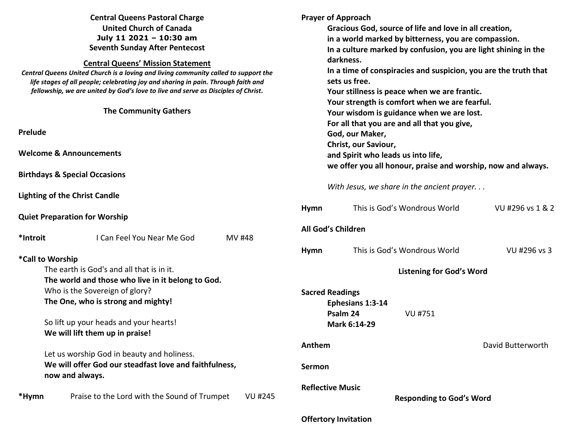| <b>Central Queens Pastoral Charge</b><br><b>United Church of Canada</b><br>July 11 2021 - 10:30 am<br><b>Seventh Sunday After Pentecost</b><br><b>Central Queens' Mission Statement</b><br>Central Queens United Church is a loving and living community called to support the<br>life stages of all people; celebrating joy and sharing in pain. Through faith and<br>fellowship, we are united by God's love to live and serve as Disciples of Christ.<br><b>The Community Gathers</b> |                         | <b>Prayer of Approach</b><br>Gracious God, source of life and love in all creation,<br>in a world marked by bitterness, you are compassion.<br>In a culture marked by confusion, you are light shining in the<br>darkness.<br>In a time of conspiracies and suspicion, you are the truth that<br>sets us free.<br>Your stillness is peace when we are frantic.<br>Your strength is comfort when we are fearful.<br>Your wisdom is guidance when we are lost.<br>For all that you are and all that you give, |                   |  |
|------------------------------------------------------------------------------------------------------------------------------------------------------------------------------------------------------------------------------------------------------------------------------------------------------------------------------------------------------------------------------------------------------------------------------------------------------------------------------------------|-------------------------|-------------------------------------------------------------------------------------------------------------------------------------------------------------------------------------------------------------------------------------------------------------------------------------------------------------------------------------------------------------------------------------------------------------------------------------------------------------------------------------------------------------|-------------------|--|
| Prelude                                                                                                                                                                                                                                                                                                                                                                                                                                                                                  |                         | God, our Maker,                                                                                                                                                                                                                                                                                                                                                                                                                                                                                             |                   |  |
| <b>Welcome &amp; Announcements</b>                                                                                                                                                                                                                                                                                                                                                                                                                                                       |                         | Christ, our Saviour,<br>and Spirit who leads us into life,<br>we offer you all honour, praise and worship, now and always.                                                                                                                                                                                                                                                                                                                                                                                  |                   |  |
| <b>Birthdays &amp; Special Occasions</b>                                                                                                                                                                                                                                                                                                                                                                                                                                                 |                         |                                                                                                                                                                                                                                                                                                                                                                                                                                                                                                             |                   |  |
| <b>Lighting of the Christ Candle</b>                                                                                                                                                                                                                                                                                                                                                                                                                                                     |                         | With Jesus, we share in the ancient prayer                                                                                                                                                                                                                                                                                                                                                                                                                                                                  |                   |  |
| <b>Quiet Preparation for Worship</b>                                                                                                                                                                                                                                                                                                                                                                                                                                                     | <b>Hymn</b>             | This is God's Wondrous World                                                                                                                                                                                                                                                                                                                                                                                                                                                                                | VU #296 vs 1 & 2  |  |
| *Introit<br>I Can Feel You Near Me God<br><b>MV#48</b>                                                                                                                                                                                                                                                                                                                                                                                                                                   | All God's Children      |                                                                                                                                                                                                                                                                                                                                                                                                                                                                                                             |                   |  |
| *Call to Worship                                                                                                                                                                                                                                                                                                                                                                                                                                                                         | <b>Hymn</b>             | This is God's Wondrous World                                                                                                                                                                                                                                                                                                                                                                                                                                                                                | VU #296 vs 3      |  |
| The earth is God's and all that is in it.<br>The world and those who live in it belong to God.                                                                                                                                                                                                                                                                                                                                                                                           |                         | <b>Listening for God's Word</b>                                                                                                                                                                                                                                                                                                                                                                                                                                                                             |                   |  |
| Who is the Sovereign of glory?<br>The One, who is strong and mighty!                                                                                                                                                                                                                                                                                                                                                                                                                     | <b>Sacred Readings</b>  | Ephesians 1:3-14<br>Psalm 24<br><b>VU #751</b>                                                                                                                                                                                                                                                                                                                                                                                                                                                              |                   |  |
| So lift up your heads and your hearts!<br>We will lift them up in praise!                                                                                                                                                                                                                                                                                                                                                                                                                |                         | Mark 6:14-29                                                                                                                                                                                                                                                                                                                                                                                                                                                                                                |                   |  |
| Let us worship God in beauty and holiness.                                                                                                                                                                                                                                                                                                                                                                                                                                               | Anthem                  |                                                                                                                                                                                                                                                                                                                                                                                                                                                                                                             | David Butterworth |  |
| We will offer God our steadfast love and faithfulness,<br>now and always.                                                                                                                                                                                                                                                                                                                                                                                                                | Sermon                  |                                                                                                                                                                                                                                                                                                                                                                                                                                                                                                             |                   |  |
| Praise to the Lord with the Sound of Trumpet<br><b>VU #245</b><br>*Hymn                                                                                                                                                                                                                                                                                                                                                                                                                  | <b>Reflective Music</b> | <b>Responding to God's Word</b>                                                                                                                                                                                                                                                                                                                                                                                                                                                                             |                   |  |

# **Offertory Invitation**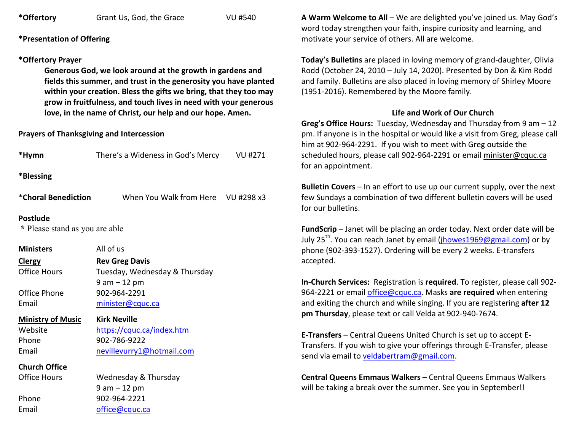**\*Offertory** Grant Us, God, the Grace VU #540

**\*Presentation of Offering** 

### **\*Offertory Prayer**

**Generous God, we look around at the growth in gardens and fields this summer, and trust in the generosity you have planted within your creation. Bless the gifts we bring, that they too may grow in fruitfulness, and touch lives in need with your generous love, in the name of Christ, our help and our hope. Amen.** 

### **Prayers of Thanksgiving and Intercession**

| *Hymn                                             | There's a Wideness in God's Mercy VU #271 |  |  |  |  |  |
|---------------------------------------------------|-------------------------------------------|--|--|--|--|--|
| *Blessing                                         |                                           |  |  |  |  |  |
| *Choral Benediction                               | When You Walk from Here VU #298 x3        |  |  |  |  |  |
| <b>Postlude</b><br>* Please stand as you are able |                                           |  |  |  |  |  |
| <b>Ministers</b>                                  | All of us                                 |  |  |  |  |  |
| Clergy                                            | <b>Rev Greg Davis</b>                     |  |  |  |  |  |
| <b>Office Hours</b>                               | Tuesday, Wednesday & Thursday             |  |  |  |  |  |
|                                                   | $9$ am $-12$ pm                           |  |  |  |  |  |
| Office Phone                                      | 902-964-2291                              |  |  |  |  |  |
| Email                                             | minister@cquc.ca                          |  |  |  |  |  |
| <b>Ministry of Music</b>                          | <b>Kirk Neville</b>                       |  |  |  |  |  |
| Website                                           | https://cquc.ca/index.htm                 |  |  |  |  |  |
| Phone                                             | 902-786-9222                              |  |  |  |  |  |
| Email                                             | nevillevurry1@hotmail.com                 |  |  |  |  |  |
| <b>Church Office</b>                              |                                           |  |  |  |  |  |
| <b>Office Hours</b>                               | Wednesday & Thursday                      |  |  |  |  |  |
|                                                   | $9$ am $-12$ pm                           |  |  |  |  |  |
| Phone                                             | 902-964-2221                              |  |  |  |  |  |
| Email                                             | office@cquc.ca                            |  |  |  |  |  |
|                                                   |                                           |  |  |  |  |  |

**A Warm Welcome to All** – We are delighted you've joined us. May God's word today strengthen your faith, inspire curiosity and learning, and motivate your service of others. All are welcome.

**Today's Bulletins** are placed in loving memory of grand-daughter, Olivia Rodd (October 24, 2010 – July 14, 2020). Presented by Don & Kim Rodd and family. Bulletins are also placed in loving memory of Shirley Moore (1951-2016). Remembered by the Moore family.

## **Life and Work of Our Church**

 **Greg's Office Hours:** Tuesday, Wednesday and Thursday from 9 am – 12 pm. If anyone is in the hospital or would like a visit from Greg, please call him at 902-964-2291. If you wish to meet with Greg outside the scheduled hours, please call 902-964-2291 or email minister@cquc.ca for an appointment.

**Bulletin Covers** – In an effort to use up our current supply, over the next few Sundays a combination of two different bulletin covers will be used for our bulletins.

**FundScrip** – Janet will be placing an order today. Next order date will be July 25<sup>th</sup>. You can reach Janet by email (*jhowes* 1969@gmail.com) or by phone (902-393-1527). Ordering will be every 2 weeks. E-transfers accepted.

**In-Church Services:** Registration is **required**. To register, please call 902-964-2221 or email office@cquc.ca. Masks **are required** when entering and exiting the church and while singing. If you are registering **after <sup>12</sup> pm Thursday**, please text or call Velda at 902-940-7674.

**E-Transfers** – Central Queens United Church is set up to accept E-Transfers. If you wish to give your offerings through E-Transfer, please send via email to veldabertram@gmail.com.

**Central Queens Emmaus Walkers** – Central Queens Emmaus Walkers will be taking a break over the summer. See you in September!!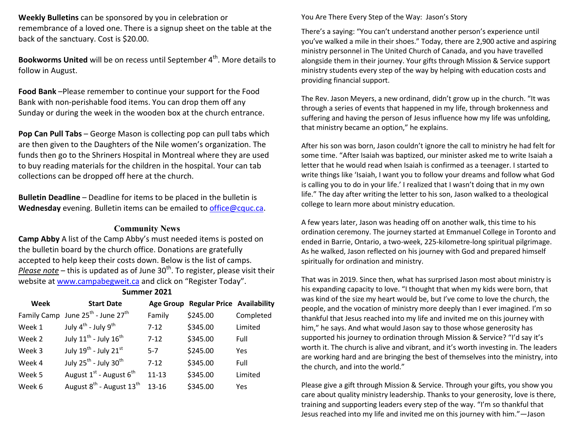**Weekly Bulletins** can be sponsored by you in celebration or remembrance of a loved one. There is a signup sheet on the table at the back of the sanctuary. Cost is \$20.00.

**Bookworms United** will be on recess until September 4<sup>th</sup>. More details to follow in August.

**Food Bank** –Please remember to continue your support for the Food Bank with non-perishable food items. You can drop them off any Sunday or during the week in the wooden box at the church entrance.

**Pop Can Pull Tabs** – George Mason is collecting pop can pull tabs which are then given to the Daughters of the Nile women's organization. The funds then go to the Shriners Hospital in Montreal where they are used to buy reading materials for the children in the hospital. Your can tab collections can be dropped off here at the church.

**Bulletin Deadline** – Deadline for items to be placed in the bulletin is **Wednesday** evening. Bulletin items can be emailed to office@cquc.ca.

#### **Community News**

**Camp Abby** A list of the Camp Abby's must needed items is posted on the bulletin board by the church office. Donations are gratefully accepted to help keep their costs down. Below is the list of camps. Please note – this is updated as of June 30<sup>th</sup>. To register, please visit their website at www.campabegweit.ca and click on "Register Today".

**Summer 2021** 

| Week   | <b>Start Date</b>                                         |           | Age Group Regular Price Availability |           |
|--------|-----------------------------------------------------------|-----------|--------------------------------------|-----------|
|        | Family Camp June 25 <sup>th</sup> - June 27 <sup>th</sup> | Family    | \$245.00                             | Completed |
| Week 1 | July 4 <sup>th</sup> - July 9 <sup>th</sup>               | $7 - 12$  | \$345.00                             | Limited   |
| Week 2 | July $11^{\text{th}}$ - July $16^{\text{th}}$             | $7 - 12$  | \$345.00                             | Full      |
| Week 3 | July $19^{\text{th}}$ - July $21^{\text{st}}$             | $5 - 7$   | \$245.00                             | Yes       |
| Week 4 | July 25 <sup>th</sup> - July 30 <sup>th</sup>             | $7 - 12$  | \$345.00                             | Full      |
| Week 5 | August $1^{st}$ - August $6^{th}$                         | $11 - 13$ | \$345.00                             | Limited   |
| Week 6 | August 8 <sup>th</sup> - August 13 <sup>th</sup>          | 13-16     | \$345.00                             | Yes       |
|        |                                                           |           |                                      |           |

You Are There Every Step of the Way: Jason's Story

There's a saying: "You can't understand another person's experience until you've walked a mile in their shoes." Today, there are 2,900 active and aspiring ministry personnel in The United Church of Canada, and you have travelled alongside them in their journey. Your gifts through Mission & Service support ministry students every step of the way by helping with education costs and providing financial support.

The Rev. Jason Meyers, a new ordinand, didn't grow up in the church. "It was through a series of events that happened in my life, through brokenness and suffering and having the person of Jesus influence how my life was unfolding, that ministry became an option," he explains.

After his son was born, Jason couldn't ignore the call to ministry he had felt for some time. "After Isaiah was baptized, our minister asked me to write Isaiah a letter that he would read when Isaiah is confirmed as a teenager. I started to write things like 'Isaiah, I want you to follow your dreams and follow what God is calling you to do in your life.' I realized that I wasn't doing that in my own life." The day after writing the letter to his son, Jason walked to a theological college to learn more about ministry education.

A few years later, Jason was heading off on another walk, this time to his ordination ceremony. The journey started at Emmanuel College in Toronto and ended in Barrie, Ontario, a two-week, 225-kilometre-long spiritual pilgrimage. As he walked, Jason reflected on his journey with God and prepared himself spiritually for ordination and ministry.

That was in 2019. Since then, what has surprised Jason most about ministry is his expanding capacity to love. "I thought that when my kids were born, that was kind of the size my heart would be, but I've come to love the church, the people, and the vocation of ministry more deeply than I ever imagined. I'm so thankful that Jesus reached into my life and invited me on this journey with him," he says. And what would Jason say to those whose generosity has supported his journey to ordination through Mission & Service? "I'd say it's worth it. The church is alive and vibrant, and it's worth investing in. The leaders are working hard and are bringing the best of themselves into the ministry, into the church, and into the world."

Please give a gift through Mission & Service. Through your gifts, you show you care about quality ministry leadership. Thanks to your generosity, love is there, training and supporting leaders every step of the way. "I'm so thankful that Jesus reached into my life and invited me on this journey with him."—Jason